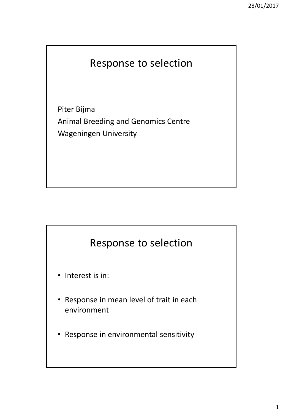## Response to selection

Piter Bijma Animal Breeding and Genomics Centre Wageningen University



- Interest is in:
- Response in mean level of trait in each environment
- Response in environmental sensitivity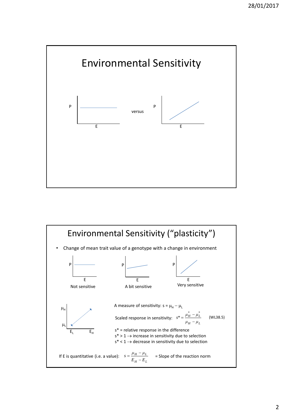

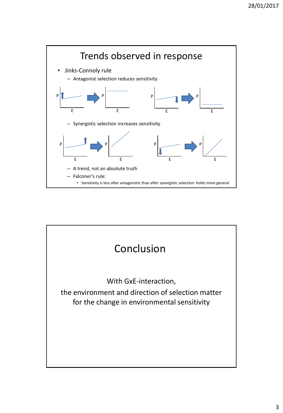

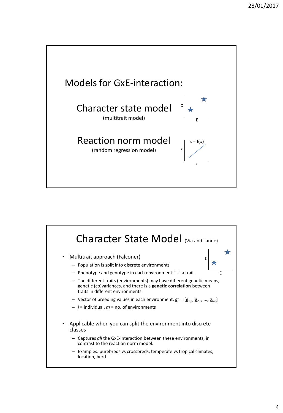

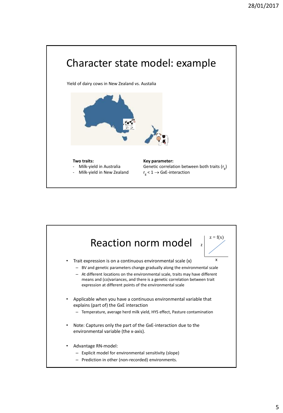

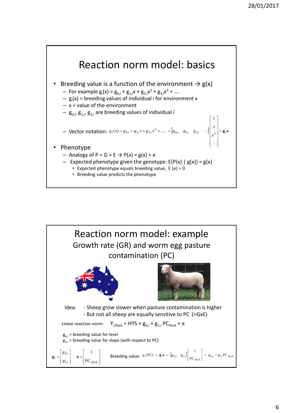

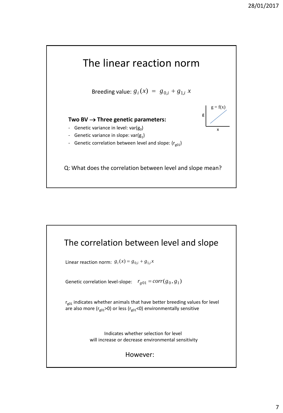

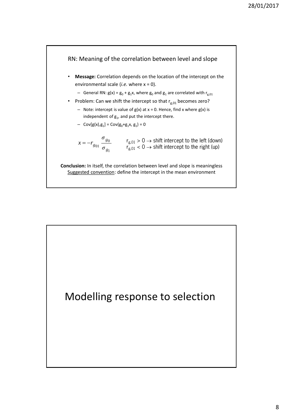

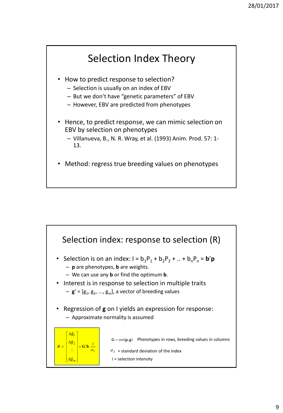

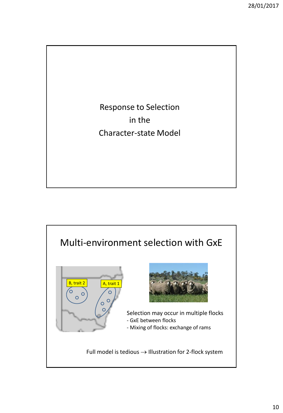Response to Selection in the Character-state Model

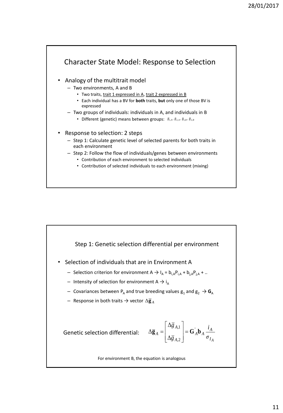

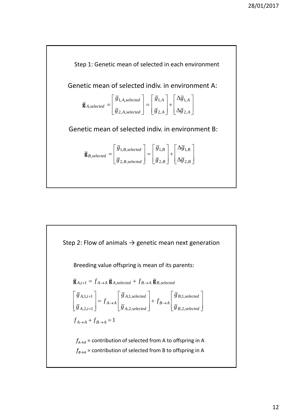

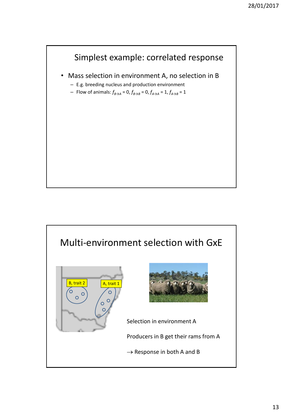

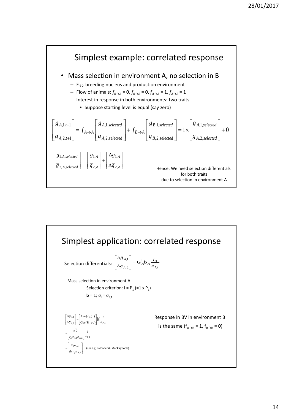

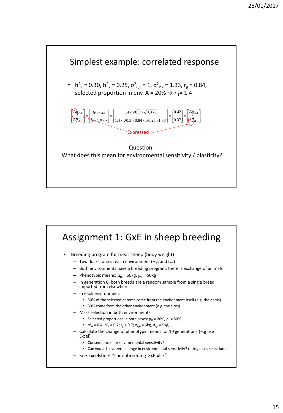

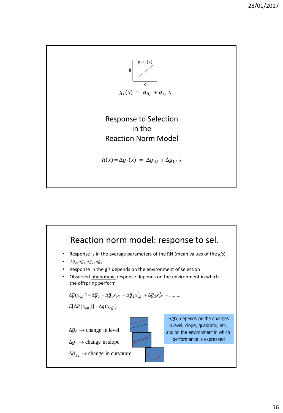

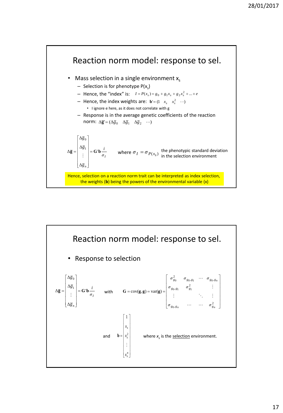

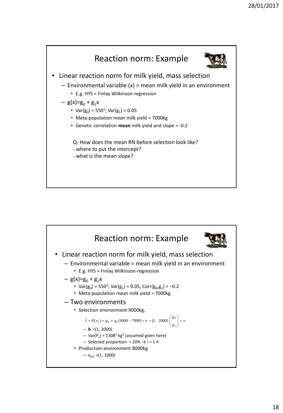

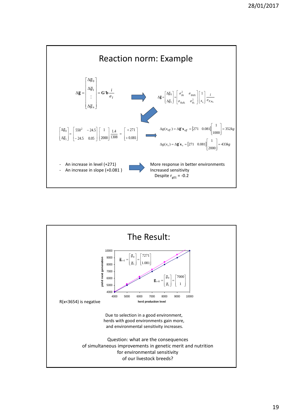